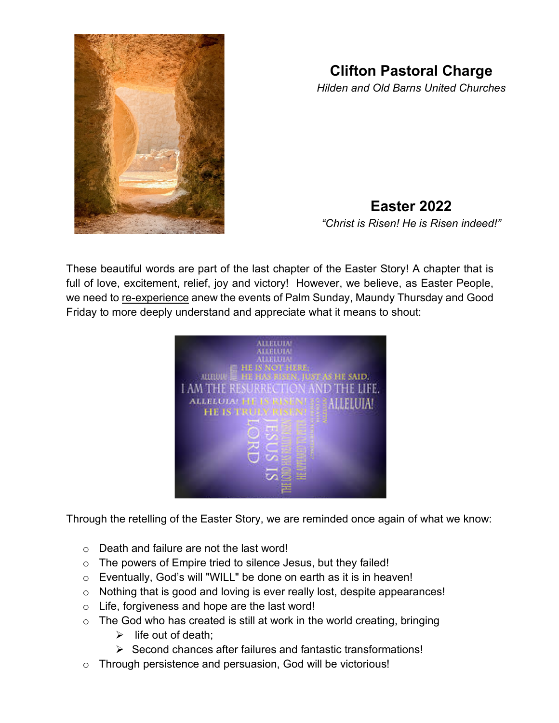

## **Clifton Pastoral Charge**

*Hilden and Old Barns United Churches*

## **Easter 2022**

*"Christ is Risen! He is Risen indeed!"*

These beautiful words are part of the last chapter of the Easter Story! A chapter that is full of love, excitement, relief, joy and victory! However, we believe, as Easter People, we need to re-experience anew the events of Palm Sunday, Maundy Thursday and Good Friday to more deeply understand and appreciate what it means to shout:



Through the retelling of the Easter Story, we are reminded once again of what we know:

- o Death and failure are not the last word!
- o The powers of Empire tried to silence Jesus, but they failed!
- o Eventually, God's will "WILL" be done on earth as it is in heaven!
- o Nothing that is good and loving is ever really lost, despite appearances!
- o Life, forgiveness and hope are the last word!
- $\circ$  The God who has created is still at work in the world creating, bringing
	- $\triangleright$  life out of death:
	- $\triangleright$  Second chances after failures and fantastic transformations!
- o Through persistence and persuasion, God will be victorious!